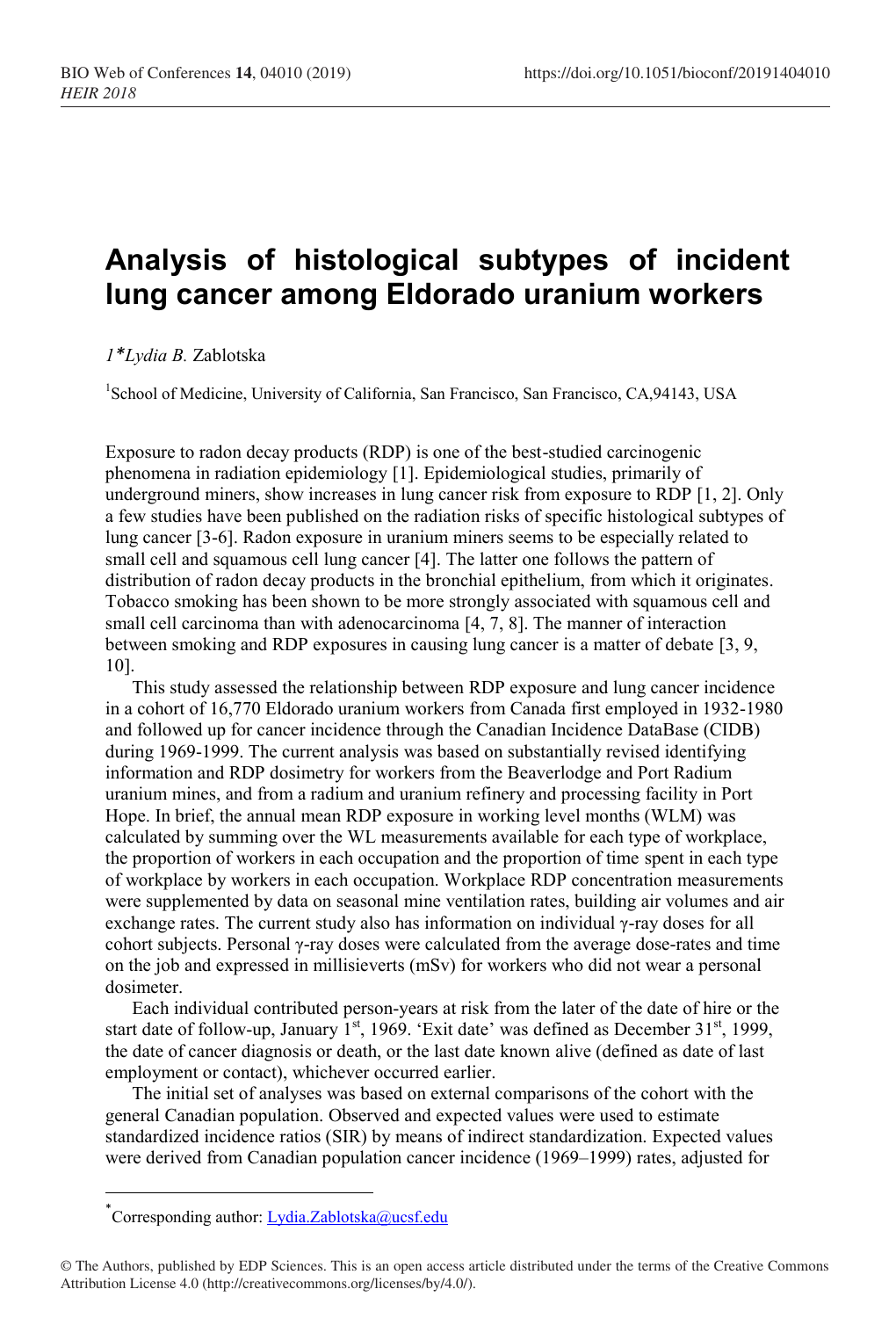## **Analysis of histological subtypes of incident lung cancer among Eldorado uranium workers**

*1\*Lydia B.* Zablotska

<sup>1</sup>School of Medicine, University of California, San Francisco, San Francisco, CA,94143, USA

Exposure to radon decay products (RDP) is one of the best-studied carcinogenic phenomena in radiation epidemiology [1]. Epidemiological studies, primarily of underground miners, show increases in lung cancer risk from exposure to RDP [1, 2]. Only a few studies have been published on the radiation risks of specific histological subtypes of lung cancer [3-6]. Radon exposure in uranium miners seems to be especially related to small cell and squamous cell lung cancer [4]. The latter one follows the pattern of distribution of radon decay products in the bronchial epithelium, from which it originates. Tobacco smoking has been shown to be more strongly associated with squamous cell and small cell carcinoma than with adenocarcinoma [4, 7, 8]. The manner of interaction between smoking and RDP exposures in causing lung cancer is a matter of debate [3, 9, 10].

This study assessed the relationship between RDP exposure and lung cancer incidence in a cohort of 16,770 Eldorado uranium workers from Canada first employed in 1932-1980 and followed up for cancer incidence through the Canadian Incidence DataBase (CIDB) during 1969-1999. The current analysis was based on substantially revised identifying information and RDP dosimetry for workers from the Beaverlodge and Port Radium uranium mines, and from a radium and uranium refinery and processing facility in Port Hope. In brief, the annual mean RDP exposure in working level months (WLM) was calculated by summing over the WL measurements available for each type of workplace, the proportion of workers in each occupation and the proportion of time spent in each type of workplace by workers in each occupation. Workplace RDP concentration measurements were supplemented by data on seasonal mine ventilation rates, building air volumes and air exchange rates. The current study also has information on individual  $\gamma$ -ray doses for all cohort subjects. Personal γ-ray doses were calculated from the average dose-rates and time on the job and expressed in millisieverts (mSv) for workers who did not wear a personal dosimeter.

Each individual contributed person-years at risk from the later of the date of hire or the start date of follow-up, January  $1<sup>st</sup>$ , 1969. 'Exit date' was defined as December 31<sup>st</sup>, 1999, the date of cancer diagnosis or death, or the last date known alive (defined as date of last employment or contact), whichever occurred earlier.

The initial set of analyses was based on external comparisons of the cohort with the general Canadian population. Observed and expected values were used to estimate standardized incidence ratios (SIR) by means of indirect standardization. Expected values were derived from Canadian population cancer incidence (1969–1999) rates, adjusted for

 $\overline{\phantom{a}}$ 

<sup>\*</sup>Corresponding author[: Lydia.Zablotska@ucsf.edu](mailto:Lydia.Zablotska@ucsf.edu)

<sup>©</sup> The Authors, published by EDP Sciences. This is an open access article distributed under the terms of the Creative Commons Attribution License 4.0 (http://creativecommons.org/licenses/by/4.0/).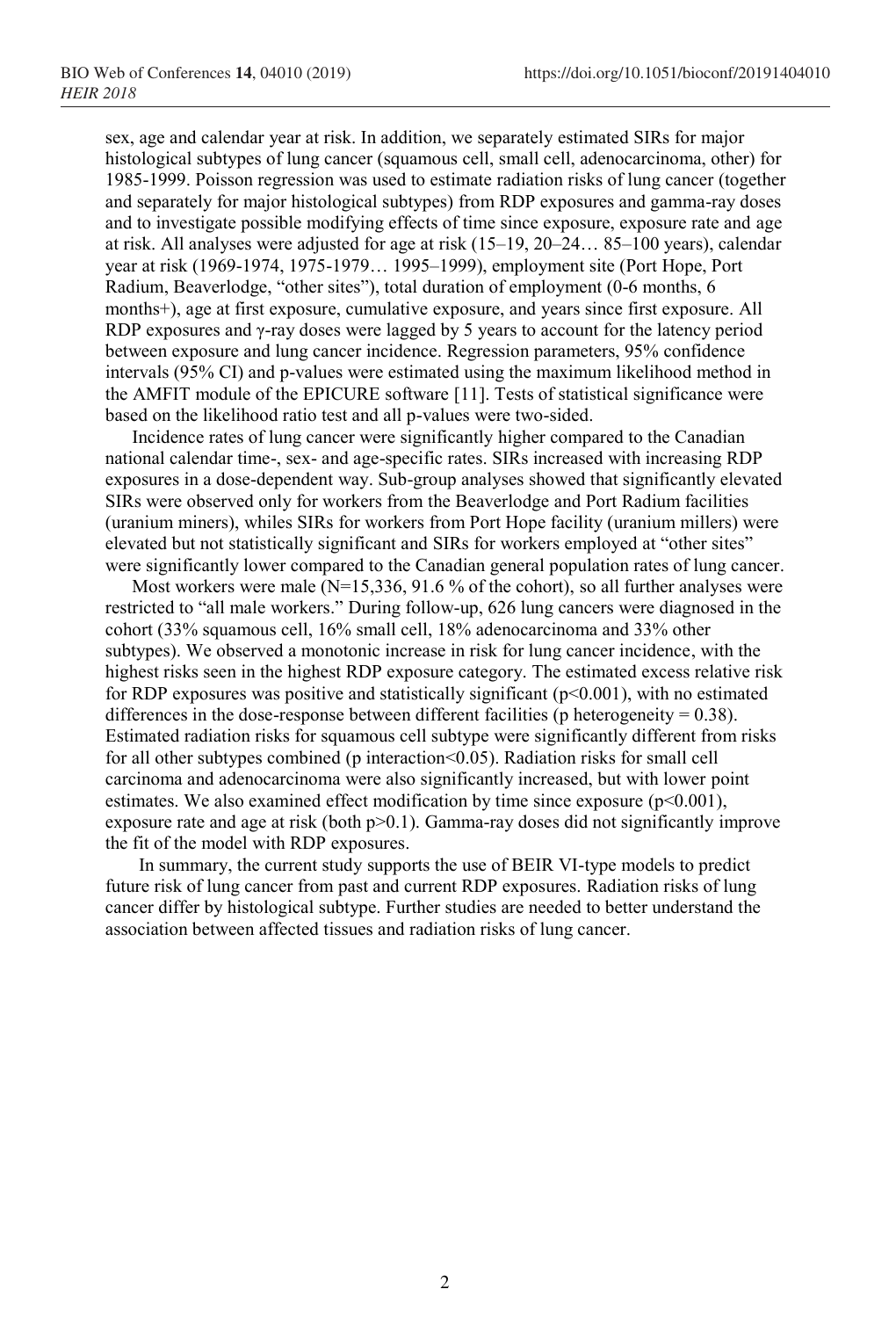sex, age and calendar year at risk. In addition, we separately estimated SIRs for major histological subtypes of lung cancer (squamous cell, small cell, adenocarcinoma, other) for 1985-1999. Poisson regression was used to estimate radiation risks of lung cancer (together and separately for major histological subtypes) from RDP exposures and gamma-ray doses and to investigate possible modifying effects of time since exposure, exposure rate and age at risk. All analyses were adjusted for age at risk (15–19, 20–24… 85–100 years), calendar year at risk (1969-1974, 1975-1979… 1995–1999), employment site (Port Hope, Port Radium, Beaverlodge, "other sites"), total duration of employment (0-6 months, 6 months+), age at first exposure, cumulative exposure, and years since first exposure. All RDP exposures and γ-ray doses were lagged by 5 years to account for the latency period between exposure and lung cancer incidence. Regression parameters, 95% confidence intervals (95% CI) and p-values were estimated using the maximum likelihood method in the AMFIT module of the EPICURE software [11]. Tests of statistical significance were based on the likelihood ratio test and all p-values were two-sided.

Incidence rates of lung cancer were significantly higher compared to the Canadian national calendar time-, sex- and age-specific rates. SIRs increased with increasing RDP exposures in a dose-dependent way. Sub-group analyses showed that significantly elevated SIRs were observed only for workers from the Beaverlodge and Port Radium facilities (uranium miners), whiles SIRs for workers from Port Hope facility (uranium millers) were elevated but not statistically significant and SIRs for workers employed at "other sites" were significantly lower compared to the Canadian general population rates of lung cancer.

Most workers were male  $(N=15,336, 91.6\%$  of the cohort), so all further analyses were restricted to "all male workers." During follow-up, 626 lung cancers were diagnosed in the cohort (33% squamous cell, 16% small cell, 18% adenocarcinoma and 33% other subtypes). We observed a monotonic increase in risk for lung cancer incidence, with the highest risks seen in the highest RDP exposure category. The estimated excess relative risk for RDP exposures was positive and statistically significant ( $p<0.001$ ), with no estimated differences in the dose-response between different facilities ( $p$  heterogeneity = 0.38). Estimated radiation risks for squamous cell subtype were significantly different from risks for all other subtypes combined (p interaction<0.05). Radiation risks for small cell carcinoma and adenocarcinoma were also significantly increased, but with lower point estimates. We also examined effect modification by time since exposure  $(p<0.001)$ , exposure rate and age at risk (both p>0.1). Gamma-ray doses did not significantly improve the fit of the model with RDP exposures.

In summary, the current study supports the use of BEIR VI-type models to predict future risk of lung cancer from past and current RDP exposures. Radiation risks of lung cancer differ by histological subtype. Further studies are needed to better understand the association between affected tissues and radiation risks of lung cancer.